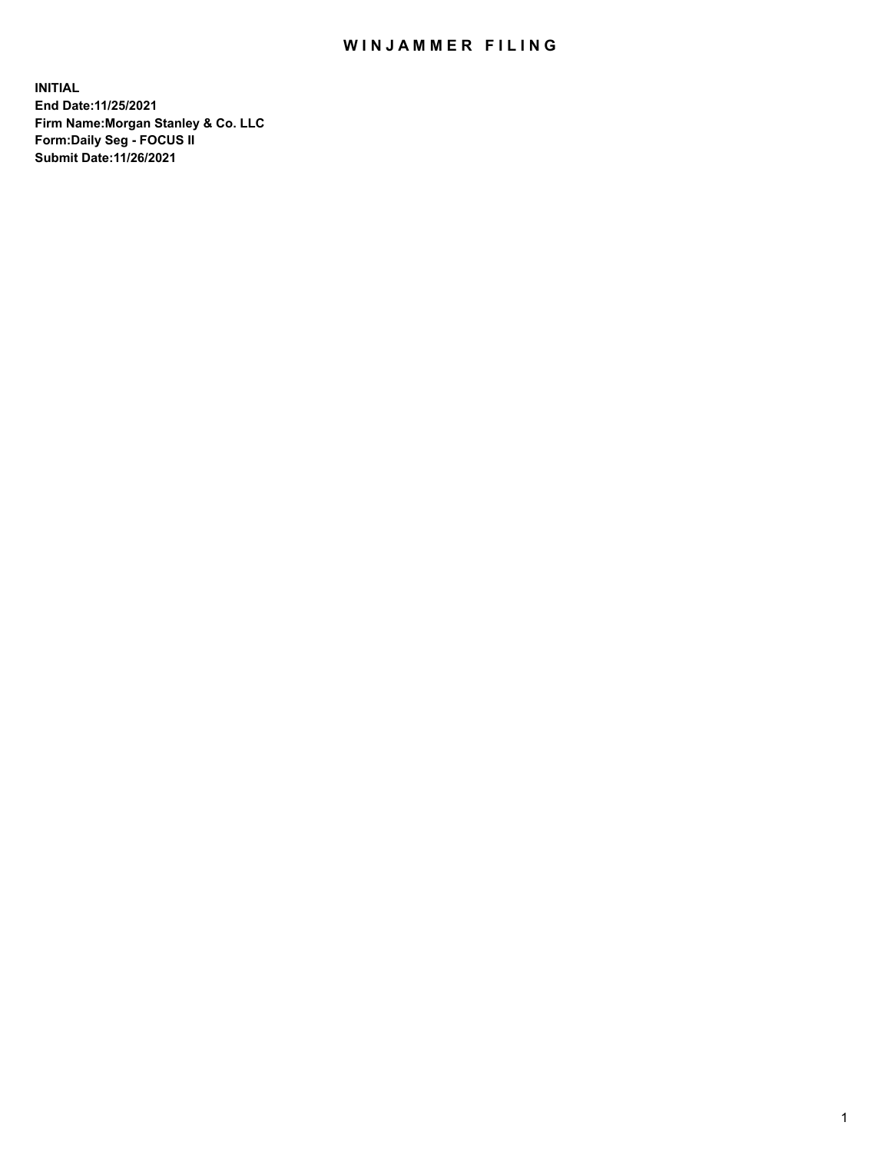## WIN JAMMER FILING

**INITIAL End Date:11/25/2021 Firm Name:Morgan Stanley & Co. LLC Form:Daily Seg - FOCUS II Submit Date:11/26/2021**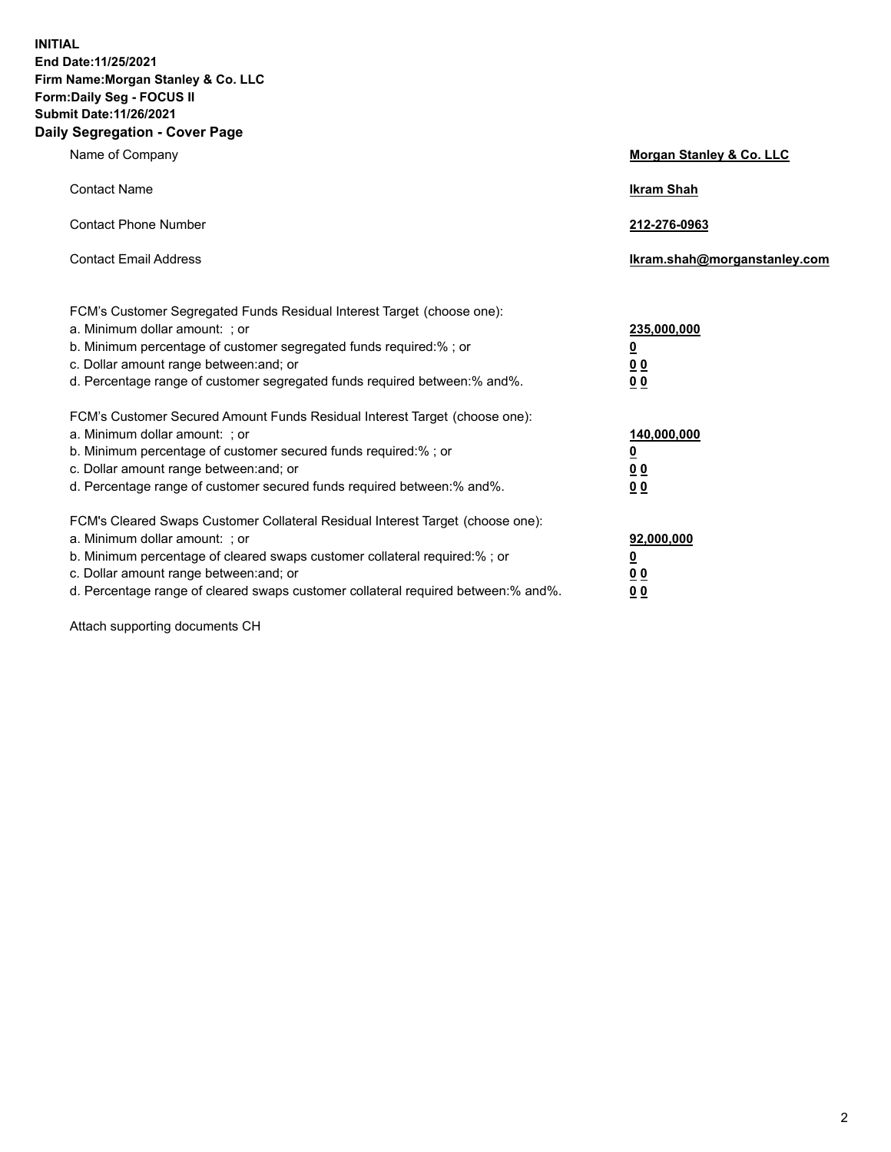**INITIAL End Date:11/25/2021 Firm Name:Morgan Stanley & Co. LLC Form:Daily Seg - FOCUS II Submit Date:11/26/2021 Daily Segregation - Cover Page**

| Name of Company                                                                                                                                                                                                                                                                                                               | Morgan Stanley & Co. LLC                               |
|-------------------------------------------------------------------------------------------------------------------------------------------------------------------------------------------------------------------------------------------------------------------------------------------------------------------------------|--------------------------------------------------------|
| <b>Contact Name</b>                                                                                                                                                                                                                                                                                                           | <b>Ikram Shah</b>                                      |
| <b>Contact Phone Number</b>                                                                                                                                                                                                                                                                                                   | 212-276-0963                                           |
| <b>Contact Email Address</b>                                                                                                                                                                                                                                                                                                  | Ikram.shah@morganstanley.com                           |
| FCM's Customer Segregated Funds Residual Interest Target (choose one):<br>a. Minimum dollar amount: ; or<br>b. Minimum percentage of customer segregated funds required:% ; or<br>c. Dollar amount range between: and; or<br>d. Percentage range of customer segregated funds required between:% and%.                        | 235,000,000<br><u>0</u><br><u>00</u><br>0 <sup>0</sup> |
| FCM's Customer Secured Amount Funds Residual Interest Target (choose one):<br>a. Minimum dollar amount: ; or<br>b. Minimum percentage of customer secured funds required:%; or<br>c. Dollar amount range between: and; or<br>d. Percentage range of customer secured funds required between:% and%.                           | 140,000,000<br><u>0</u><br><u>00</u><br>0 <sub>0</sub> |
| FCM's Cleared Swaps Customer Collateral Residual Interest Target (choose one):<br>a. Minimum dollar amount: ; or<br>b. Minimum percentage of cleared swaps customer collateral required:%; or<br>c. Dollar amount range between: and; or<br>d. Percentage range of cleared swaps customer collateral required between:% and%. | 92,000,000<br><u>0</u><br>0 Q<br>00                    |

Attach supporting documents CH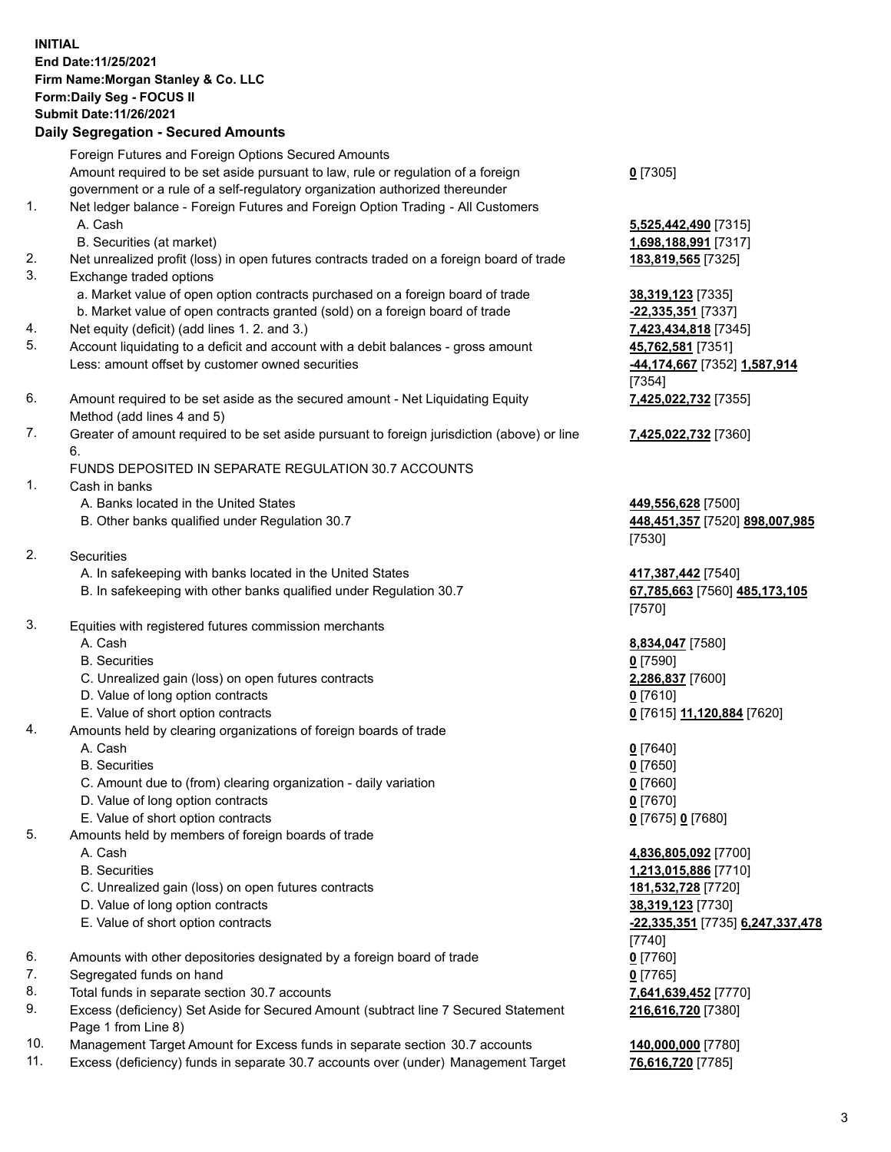## **INITIAL End Date:11/25/2021 Firm Name:Morgan Stanley & Co. LLC Form:Daily Seg - FOCUS II Submit Date:11/26/2021**

## **Daily Segregation - Secured Amounts**

Foreign Futures and Foreign Options Secured Amounts Amount required to be set aside pursuant to law, rule or regulation of a foreign government or a rule of a self-regulatory organization authorized thereunder 1. Net ledger balance - Foreign Futures and Foreign Option Trading - All Customers

- 
- B. Securities (at market) **1,698,188,991** [7317]
- 2. Net unrealized profit (loss) in open futures contracts traded on a foreign board of trade **183,819,565** [7325]
- 3. Exchange traded options
	- a. Market value of open option contracts purchased on a foreign board of trade **38,319,123** [7335]
	- b. Market value of open contracts granted (sold) on a foreign board of trade **-22,335,351** [7337]
- 4. Net equity (deficit) (add lines 1. 2. and 3.) **7,423,434,818** [7345]
- 5. Account liquidating to a deficit and account with a debit balances gross amount **45,762,581** [7351] Less: amount offset by customer owned securities **-44,174,667** [7352] **1,587,914**
- 6. Amount required to be set aside as the secured amount Net Liquidating Equity Method (add lines 4 and 5)
- 7. Greater of amount required to be set aside pursuant to foreign jurisdiction (above) or line 6.

## FUNDS DEPOSITED IN SEPARATE REGULATION 30.7 ACCOUNTS

- 1. Cash in banks
	- A. Banks located in the United States **449,556,628** [7500]
	- B. Other banks qualified under Regulation 30.7 **448,451,357** [7520] **898,007,985**
- 2. Securities
	- A. In safekeeping with banks located in the United States **417,387,442** [7540]
	- B. In safekeeping with other banks qualified under Regulation 30.7 **67,785,663** [7560] **485,173,105**
- 3. Equities with registered futures commission merchants
	-
	- B. Securities **0** [7590]
	- C. Unrealized gain (loss) on open futures contracts **2,286,837** [7600]
	- D. Value of long option contracts **0** [7610]
	- E. Value of short option contracts **0** [7615] **11,120,884** [7620]
- 4. Amounts held by clearing organizations of foreign boards of trade
	- A. Cash **0** [7640]
	- B. Securities **0** [7650]
	- C. Amount due to (from) clearing organization daily variation **0** [7660]
	- D. Value of long option contracts **0** [7670]
	- E. Value of short option contracts **0** [7675] **0** [7680]
- 5. Amounts held by members of foreign boards of trade
	-
	-
	- C. Unrealized gain (loss) on open futures contracts **181,532,728** [7720]
	- D. Value of long option contracts **38,319,123** [7730]
	- E. Value of short option contracts **-22,335,351** [7735] **6,247,337,478**
- 6. Amounts with other depositories designated by a foreign board of trade **0** [7760]
- 7. Segregated funds on hand **0** [7765]
- 8. Total funds in separate section 30.7 accounts **7,641,639,452** [7770]
- 9. Excess (deficiency) Set Aside for Secured Amount (subtract line 7 Secured Statement Page 1 from Line 8)
- 10. Management Target Amount for Excess funds in separate section 30.7 accounts **140,000,000** [7780]
- 11. Excess (deficiency) funds in separate 30.7 accounts over (under) Management Target **76,616,720** [7785]

**0** [7305]

A. Cash **5,525,442,490** [7315]

[7354] **7,425,022,732** [7355]

**7,425,022,732** [7360]

[7530]

[7570]

A. Cash **8,834,047** [7580]

 A. Cash **4,836,805,092** [7700] B. Securities **1,213,015,886** [7710] [7740] **216,616,720** [7380]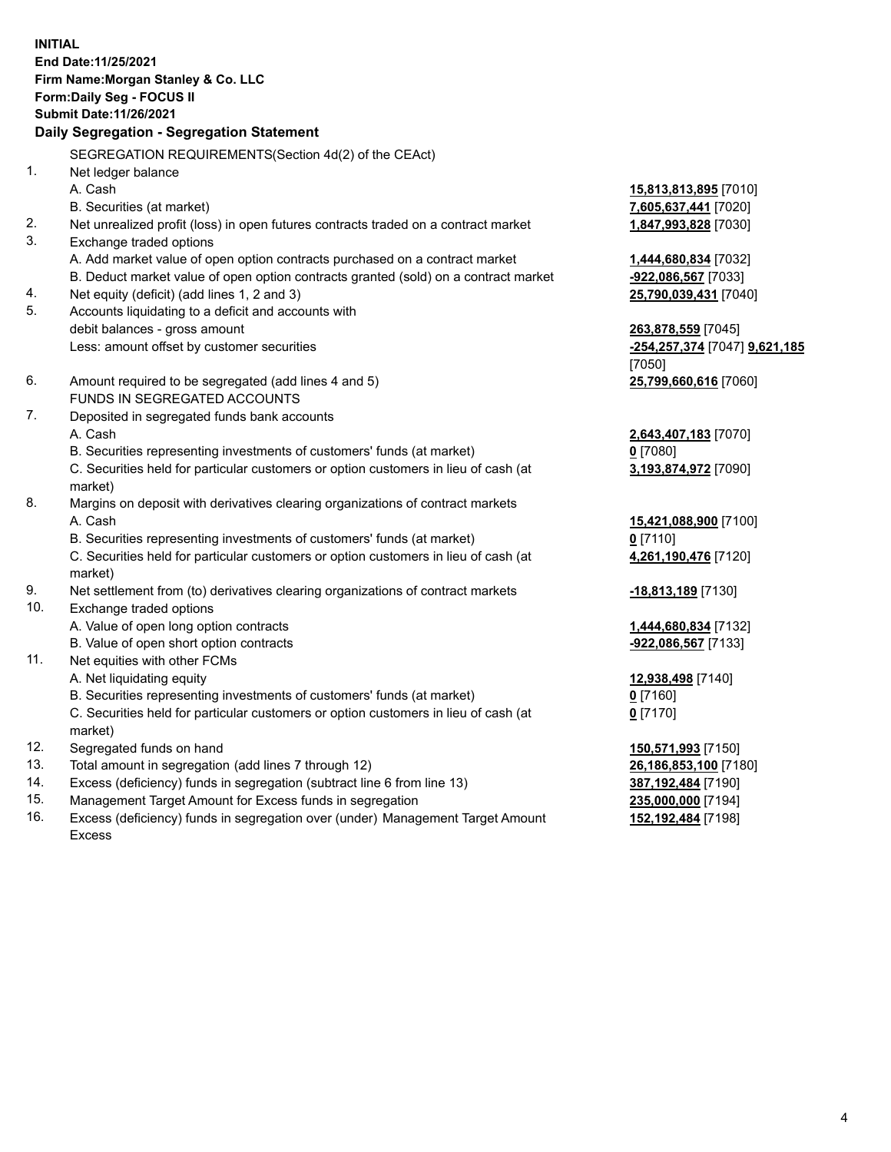**INITIAL End Date:11/25/2021 Firm Name:Morgan Stanley & Co. LLC Form:Daily Seg - FOCUS II Submit Date:11/26/2021 Daily Segregation - Segregation Statement** SEGREGATION REQUIREMENTS(Section 4d(2) of the CEAct) 1. Net ledger balance A. Cash **15,813,813,895** [7010] B. Securities (at market) **7,605,637,441** [7020] 2. Net unrealized profit (loss) in open futures contracts traded on a contract market **1,847,993,828** [7030] 3. Exchange traded options A. Add market value of open option contracts purchased on a contract market **1,444,680,834** [7032] B. Deduct market value of open option contracts granted (sold) on a contract market **-922,086,567** [7033] 4. Net equity (deficit) (add lines 1, 2 and 3) **25,790,039,431** [7040] 5. Accounts liquidating to a deficit and accounts with debit balances - gross amount **263,878,559** [7045] Less: amount offset by customer securities **-254,257,374** [7047] **9,621,185** [7050] 6. Amount required to be segregated (add lines 4 and 5) **25,799,660,616** [7060] FUNDS IN SEGREGATED ACCOUNTS 7. Deposited in segregated funds bank accounts A. Cash **2,643,407,183** [7070] B. Securities representing investments of customers' funds (at market) **0** [7080] C. Securities held for particular customers or option customers in lieu of cash (at market) **3,193,874,972** [7090] 8. Margins on deposit with derivatives clearing organizations of contract markets A. Cash **15,421,088,900** [7100] B. Securities representing investments of customers' funds (at market) **0** [7110] C. Securities held for particular customers or option customers in lieu of cash (at market) **4,261,190,476** [7120] 9. Net settlement from (to) derivatives clearing organizations of contract markets **-18,813,189** [7130] 10. Exchange traded options A. Value of open long option contracts **1,444,680,834** [7132] B. Value of open short option contracts **-922,086,567** [7133] 11. Net equities with other FCMs A. Net liquidating equity **12,938,498** [7140] B. Securities representing investments of customers' funds (at market) **0** [7160] C. Securities held for particular customers or option customers in lieu of cash (at market) **0** [7170] 12. Segregated funds on hand **150,571,993** [7150] 13. Total amount in segregation (add lines 7 through 12) **26,186,853,100** [7180] 14. Excess (deficiency) funds in segregation (subtract line 6 from line 13) **387,192,484** [7190] 15. Management Target Amount for Excess funds in segregation **235,000,000** [7194]

16. Excess (deficiency) funds in segregation over (under) Management Target Amount Excess

**152,192,484** [7198]